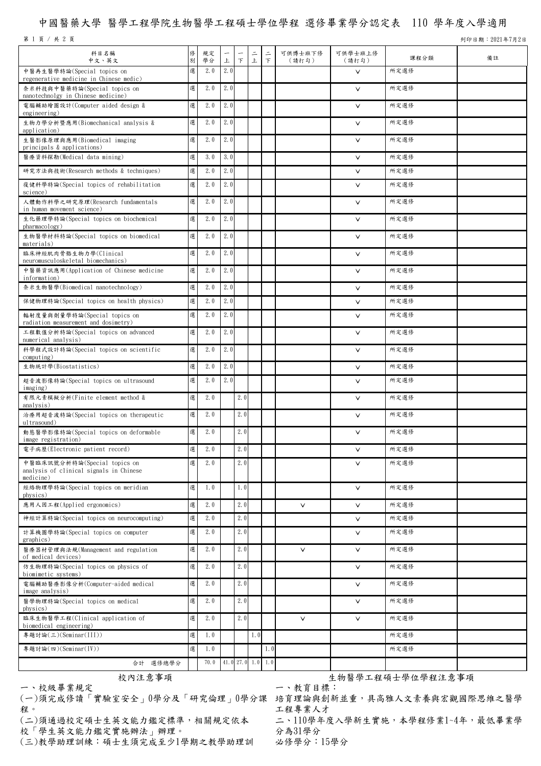## 中國醫藥大學 醫學工程學院生物醫學工程碩士學位學程 選修畢業學分認定表 110 學年度入學適用

第 1 頁 / 共 2 頁 2021年7月2日

| 科目名稱<br>中文、英文                                                                        | 俢<br>別 | 規定<br>學分 | $\overline{\phantom{m}}$<br>上 | $\top$ | $\equiv$<br>上       | $\equiv$<br>$\top$ | 可供博士班下修<br>(請打勾) | 可供學士班上修<br>(請打勾) | 課程分類 | 備註 |
|--------------------------------------------------------------------------------------|--------|----------|-------------------------------|--------|---------------------|--------------------|------------------|------------------|------|----|
| 中醫再生醫學特論(Special topics on<br>regenerative medicine in Chinese medic)                | 選      | 2.0      | 2.0                           |        |                     |                    |                  | $\vee$           | 所定選修 |    |
| 奈米科技與中醫藥特論(Special topics on<br>nanotechnolgy in Chinese medicine)                   | 選      | 2.0      | 2.0                           |        |                     |                    |                  | $\vee$           | 所定選修 |    |
| 電腦輔助繪圖設計(Computer aided design &<br>engineering)                                     | 選      | 2.0      | 2.0                           |        |                     |                    |                  | $\vee$           | 所定選修 |    |
| 生物力學分析暨應用(Biomechanical analysis &<br>application)                                   | 選      | 2.0      | 2.0                           |        |                     |                    |                  | $\vee$           | 所定選修 |    |
| 生醫影像原理與應用(Biomedical imaging<br>principals & applications)                           | 選      | 2.0      | 2.0                           |        |                     |                    |                  | $\vee$           | 所定選修 |    |
| 醫療資料探勘(Medical data mining)                                                          | 選      | 3.0      | 3.0                           |        |                     |                    |                  | $\vee$           | 所定選修 |    |
| 研究方法與技術(Research methods & techniques)                                               | 選      | 2.0      | 2.0                           |        |                     |                    |                  | $\vee$           | 所定選修 |    |
| 復健科學特論(Special topics of rehabilitation<br>science)                                  | 選      | 2.0      | 2.0                           |        |                     |                    |                  | $\vee$           | 所定選修 |    |
| 人體動作科學之研究原理(Research fundamentals<br>in human movement science)                      | 選      | 2.0      | 2.0                           |        |                     |                    |                  | $\vee$           | 所定選修 |    |
| 生化藥理學特論(Special topics on biochemical<br>pharmacology)                               | 選      | 2.0      | 2.0                           |        |                     |                    |                  | $\vee$           | 所定選修 |    |
| 生物醫學材料特論(Special topics on biomedical<br>materials)                                  | 選      | 2.0      | 2.0                           |        |                     |                    |                  | $\vee$           | 所定選修 |    |
| 臨床神經肌肉骨骼生物力學(Clinical<br>neuromusculoskeletal biomechanics)                          | 選      | 2.0      | 2.0                           |        |                     |                    |                  | $\vee$           | 所定選修 |    |
| 中醫藥資訊應用(Application of Chinese medicine<br>information)                              | 選      | 2.0      | 2.0                           |        |                     |                    |                  | $\vee$           | 所定選修 |    |
| 奈米生物醫學(Biomedical nanotechnology)                                                    | 選      | 2.0      | 2.0                           |        |                     |                    |                  | $\vee$           | 所定選修 |    |
| 保健物理特論(Special topics on health physics)                                             | 選      | 2.0      | 2.0                           |        |                     |                    |                  | $\vee$           | 所定選修 |    |
| 輻射度量與劑量學特論(Special topics on                                                         | 選      | 2.0      | 2.0                           |        |                     |                    |                  | $\vee$           | 所定選修 |    |
| radiation measurement and dosimetry)<br>工程數值分析特論(Special topics on advanced          | 選      | 2.0      | 2.0                           |        |                     |                    |                  | $\vee$           | 所定選修 |    |
| numerical analysis)<br>科學程式設計特論(Special topics on scientific                         | 選      | 2.0      | 2.0                           |        |                     |                    |                  | $\vee$           | 所定選修 |    |
| computing)<br>生物統計學(Biostatistics)                                                   | 選      | 2.0      | 2.0                           |        |                     |                    |                  | $\vee$           | 所定選修 |    |
| 超音波影像特論(Special topics on ultrasound                                                 | 選      | 2.0      | 2.0                           |        |                     |                    |                  | $\vee$           | 所定選修 |    |
| imaging)<br>有限元素模擬分析(Finite element method &                                         | 選      | 2.0      |                               | 2.0    |                     |                    |                  | $\vee$           | 所定選修 |    |
| analysis)<br>治療用超音波特論(Special topics on therapeutic                                  | 選      | 2.0      |                               | 2.0    |                     |                    |                  | $\vee$           | 所定選修 |    |
| ultrasound)<br>動態醫學影像特論(Special topics on deformable                                 | 選      | 2.0      |                               | 2.0    |                     |                    |                  | $\vee$           | 所定選修 |    |
| image registration)                                                                  |        |          |                               | 2.0    |                     |                    |                  |                  |      |    |
| 電子病歷(Electronic patient record)                                                      | 選      | 2.0      |                               |        |                     |                    |                  | $\vee$           | 所定選修 |    |
| 中醫臨床訊號分析特論(Special topics on<br>analysis of clinical signals in Chinese<br>medicine) | 選      | 2.0      |                               | 2.0    |                     |                    |                  | $\vee$           | 所定選修 |    |
| 經絡物理學特論(Special topics on meridian<br>physics)                                       | 選      | 1.0      |                               | 1.0    |                     |                    |                  | $\vee$           | 所定選修 |    |
| 應用人因工程(Applied ergonomics)                                                           | 選      | 2.0      |                               | 2.0    |                     |                    | $\vee$           | $\vee$           | 所定選修 |    |
| 神經計算特論(Special topics on neurocomputing)                                             | 選      | 2.0      |                               | 2.0    |                     |                    |                  | $\vee$           | 所定選修 |    |
| 計算機圖學特論(Special topics on computer<br>graphics)                                      | 選      | 2.0      |                               | 2.0    |                     |                    |                  | $\vee$           | 所定選修 |    |
| 醫療器材管理與法規(Management and regulation<br>of medical devices)                           | 選      | 2.0      |                               | 2.0    |                     |                    | $\vee$           | $\vee$           | 所定選修 |    |
| 仿生物理特論(Special topics on physics of<br>biomimetic systems)                           | 選      | 2.0      |                               | 2.0    |                     |                    |                  | $\checkmark$     | 所定選修 |    |
| 電腦輔助醫療影像分析(Computer-aided medical<br>image analysis)                                 | 選      | 2.0      |                               | 2.0    |                     |                    |                  | $\vee$           | 所定選修 |    |
| 醫學物理特論(Special topics on medical<br>physics)                                         | 選      | 2.0      |                               | 2.0    |                     |                    |                  | $\vee$           | 所定選修 |    |
| 臨床生物醫學工程(Clinical application of<br>biomedical engineering)                          | 選      | 2.0      |                               | 2.0    |                     |                    | $\vee$           | $\vee$           | 所定選修 |    |
| 專題討論(三)(Seminar(III))                                                                | 選      | 1.0      |                               |        | 1.0                 |                    |                  |                  | 所定選修 |    |
| 專題討論(四)(Seminar(IV))                                                                 | 選      | 1.0      |                               |        |                     | 1.0                |                  |                  | 所定選修 |    |
| 合計 選修總學分                                                                             |        | 70.0     |                               |        | $41.0$ 27.0 1.0 1.0 |                    |                  |                  |      |    |

一、校級畢業規定

程。

(二)須通過校定碩士生英文能力鑑定標準,相關規定依本 校「學生英文能力鑑定實施辦法」辦理。

(三)教學助理訓練:碩士生須完成至少1學期之教學助理訓

校內注意事項 安內注意會員 医二十二十二十二十一 生物醫學工程碩士學位學程注意事項 一、教育目標:

(一)須完成修讀「實驗室安全」0學分及「研究倫理」0學分課 培育理論與創新並重,具高雅人文素養與宏觀國際思維之醫學 工程專業人才

> 二、110學年度入學新生實施,本學程修業1~4年,最低畢業學 分為31學分

必修學分:15學分